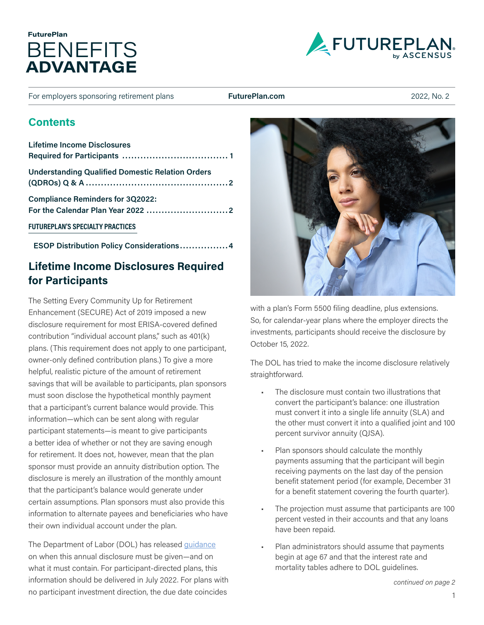## BENEFITS **ADVANTAGE FuturePlan**



For employers sponsoring retirement plans **[FuturePlan.com](http://futureplan.com)** 2022, No. 2

### **Contents**

| Lifetime Income Disclosures                             |
|---------------------------------------------------------|
| <b>Understanding Qualified Domestic Relation Orders</b> |
| <b>Compliance Reminders for 3Q2022:</b>                 |
| <b>FUTUREPLAN'S SPECIALTY PRACTICES</b>                 |

**[ESOP Distribution Policy Considerations................](#page-3-0) 4**

## <span id="page-0-0"></span>**Lifetime Income Disclosures Required for Participants**

The Setting Every Community Up for Retirement Enhancement (SECURE) Act of 2019 imposed a new disclosure requirement for most ERISA-covered defined contribution "individual account plans," such as 401(k) plans. (This requirement does not apply to one participant, owner-only defined contribution plans.) To give a more helpful, realistic picture of the amount of retirement savings that will be available to participants, plan sponsors must soon disclose the hypothetical monthly payment that a participant's current balance would provide. This information—which can be sent along with regular participant statements—is meant to give participants a better idea of whether or not they are saving enough for retirement. It does not, however, mean that the plan sponsor must provide an annuity distribution option. The disclosure is merely an illustration of the monthly amount that the participant's balance would generate under certain assumptions. Plan sponsors must also provide this information to alternate payees and beneficiaries who have their own individual account under the plan.

The Department of Labor (DOL) has released [guidance](https://www.futureplan.com/resources/news-articles/lifetime-income-disclosures-a-new-requirement-for-pension-benefit-statements/) on when this annual disclosure must be given—and on what it must contain. For participant-directed plans, this information should be delivered in July 2022. For plans with no participant investment direction, the due date coincides



with a plan's Form 5500 filing deadline, plus extensions. So, for calendar-year plans where the employer directs the investments, participants should receive the disclosure by October 15, 2022.

The DOL has tried to make the income disclosure relatively straightforward.

- The disclosure must contain two illustrations that convert the participant's balance: one illustration must convert it into a single life annuity (SLA) and the other must convert it into a qualified joint and 100 percent survivor annuity (QJSA).
- Plan sponsors should calculate the monthly payments assuming that the participant will begin receiving payments on the last day of the pension benefit statement period (for example, December 31 for a benefit statement covering the fourth quarter).
- The projection must assume that participants are 100 percent vested in their accounts and that any loans have been repaid.
- Plan administrators should assume that payments begin at age 67 and that the interest rate and mortality tables adhere to DOL guidelines.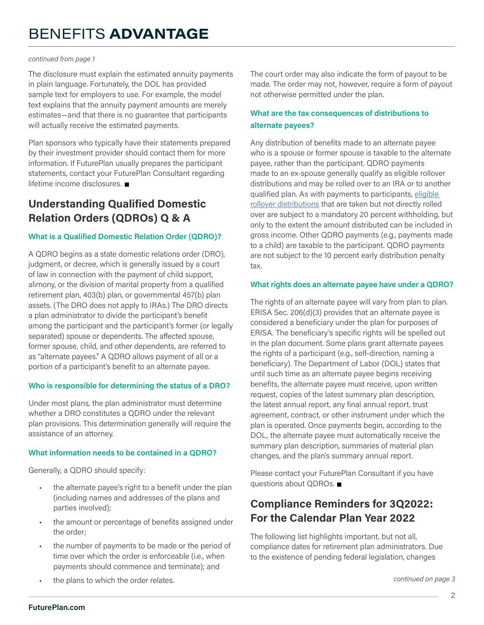#### *continued from page 1*

The disclosure must explain the estimated annuity payments in plain language. Fortunately, the DOL has provided sample text for employers to use. For example, the model text explains that the annuity payment amounts are merely estimates—and that there is no guarantee that participants will actually receive the estimated payments.

Plan sponsors who typically have their statements prepared by their investment provider should contact them for more information. If FuturePlan usually prepares the participant statements, contact your FuturePlan Consultant regarding lifetime income disclosures.

### <span id="page-1-0"></span>**Understanding Qualified Domestic Relation Orders (QDROs) Q & A**

### **What is a Qualified Domestic Relation Order (QDRO)?**

A QDRO begins as a state domestic relations order (DRO), judgment, or decree, which is generally issued by a court of law in connection with the payment of child support, alimony, or the division of marital property from a qualified retirement plan, 403(b) plan, or governmental 457(b) plan assets. (The DRO does not apply to IRAs.) The DRO directs a plan administrator to divide the participant's benefit among the participant and the participant's former (or legally separated) spouse or dependents. The affected spouse, former spouse, child, and other dependents, are referred to as "alternate payees." A QDRO allows payment of all or a portion of a participant's benefit to an alternate payee.

### **Who is responsible for determining the status of a DRO?**

Under most plans, the plan administrator must determine whether a DRO constitutes a QDRO under the relevant plan provisions. This determination generally will require the assistance of an attorney.

### **What information needs to be contained in a QDRO?**

Generally, a QDRO should specify:

- the alternate payee's right to a benefit under the plan (including names and addresses of the plans and parties involved);
- the amount or percentage of benefits assigned under the order;
- the number of payments to be made or the period of time over which the order is enforceable (i.e., when payments should commence and terminate); and

The court order may also indicate the form of payout to be made. The order may not, however, require a form of payout not otherwise permitted under the plan.

### **What are the tax consequences of distributions to alternate payees?**

Any distribution of benefits made to an alternate payee who is a spouse or former spouse is taxable to the alternate payee, rather than the participant. QDRO payments made to an ex-spouse generally qualify as eligible rollover distributions and may be rolled over to an IRA or to another qualified plan. As with payments to participants, [eligible](https://thelink.ascensus.com/articles/2021/7/14/eligible-rollover-distributions?rq=eligible%20rollover%20distributions)  [rollover distributions](https://thelink.ascensus.com/articles/2021/7/14/eligible-rollover-distributions?rq=eligible%20rollover%20distributions) that are taken but not directly rolled over are subject to a mandatory 20 percent withholding, but only to the extent the amount distributed can be included in gross income. Other QDRO payments (e.g., payments made to a child) are taxable to the participant. QDRO payments are not subject to the 10 percent early distribution penalty tax.

### **What rights does an alternate payee have under a QDRO?**

The rights of an alternate payee will vary from plan to plan. ERISA Sec. 206(d)(3) provides that an alternate payee is considered a beneficiary under the plan for purposes of ERISA. The beneficiary's specific rights will be spelled out in the plan document. Some plans grant alternate payees the rights of a participant (e.g., self-direction, naming a beneficiary). The Department of Labor (DOL) states that until such time as an alternate payee begins receiving benefits, the alternate payee must receive, upon written request, copies of the latest summary plan description, the latest annual report, any final annual report, trust agreement, contract, or other instrument under which the plan is operated. Once payments begin, according to the DOL, the alternate payee must automatically receive the summary plan description, summaries of material plan changes, and the plan's summary annual report.

Please contact your FuturePlan Consultant if you have questions about QDROs.

### <span id="page-1-1"></span>**Compliance Reminders for 3Q2022: For the Calendar Plan Year 2022**

The following list highlights important, but not all, compliance dates for retirement plan administrators. Due to the existence of pending federal legislation, changes

• the plans to which the order relates. *continued on page 3*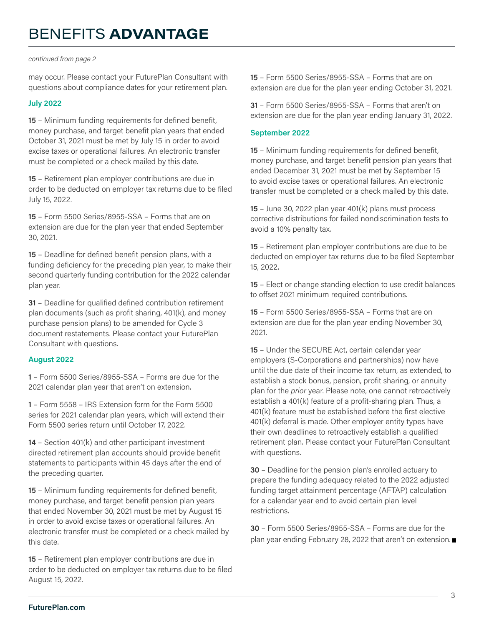#### *continued from page 2*

may occur. Please contact your FuturePlan Consultant with questions about compliance dates for your retirement plan.

#### **July 2022**

**15** – Minimum funding requirements for defined benefit, money purchase, and target benefit plan years that ended October 31, 2021 must be met by July 15 in order to avoid excise taxes or operational failures. An electronic transfer must be completed or a check mailed by this date.

**15** – Retirement plan employer contributions are due in order to be deducted on employer tax returns due to be filed July 15, 2022.

**15** – Form 5500 Series/8955-SSA – Forms that are on extension are due for the plan year that ended September 30, 2021.

**15** – Deadline for defined benefit pension plans, with a funding deficiency for the preceding plan year, to make their second quarterly funding contribution for the 2022 calendar plan year.

**31** – Deadline for qualified defined contribution retirement plan documents (such as profit sharing, 401(k), and money purchase pension plans) to be amended for Cycle 3 document restatements. Please contact your FuturePlan Consultant with questions.

### **August 2022**

**1** – Form 5500 Series/8955-SSA – Forms are due for the 2021 calendar plan year that aren't on extension.

**1** – Form 5558 – IRS Extension form for the Form 5500 series for 2021 calendar plan years, which will extend their Form 5500 series return until October 17, 2022.

**14** – Section 401(k) and other participant investment directed retirement plan accounts should provide benefit statements to participants within 45 days after the end of the preceding quarter.

**15** – Minimum funding requirements for defined benefit, money purchase, and target benefit pension plan years that ended November 30, 2021 must be met by August 15 in order to avoid excise taxes or operational failures. An electronic transfer must be completed or a check mailed by this date.

**15** – Retirement plan employer contributions are due in order to be deducted on employer tax returns due to be filed August 15, 2022.

**15** – Form 5500 Series/8955-SSA – Forms that are on extension are due for the plan year ending October 31, 2021.

**31** – Form 5500 Series/8955-SSA – Forms that aren't on extension are due for the plan year ending January 31, 2022.

#### **September 2022**

**15** – Minimum funding requirements for defined benefit, money purchase, and target benefit pension plan years that ended December 31, 2021 must be met by September 15 to avoid excise taxes or operational failures. An electronic transfer must be completed or a check mailed by this date.

**15** – June 30, 2022 plan year 401(k) plans must process corrective distributions for failed nondiscrimination tests to avoid a 10% penalty tax.

**15** – Retirement plan employer contributions are due to be deducted on employer tax returns due to be filed September 15, 2022.

**15** – Elect or change standing election to use credit balances to offset 2021 minimum required contributions.

**15** – Form 5500 Series/8955-SSA – Forms that are on extension are due for the plan year ending November 30, 2021.

**15** – Under the SECURE Act, certain calendar year employers (S-Corporations and partnerships) now have until the due date of their income tax return, as extended, to establish a stock bonus, pension, profit sharing, or annuity plan for the *prior* year. Please note, one cannot retroactively establish a 401(k) feature of a profit-sharing plan. Thus, a 401(k) feature must be established before the first elective 401(k) deferral is made. Other employer entity types have their own deadlines to retroactively establish a qualified retirement plan. Please contact your FuturePlan Consultant with questions.

**30** – Deadline for the pension plan's enrolled actuary to prepare the funding adequacy related to the 2022 adjusted funding target attainment percentage (AFTAP) calculation for a calendar year end to avoid certain plan level restrictions.

**30** – Form 5500 Series/8955-SSA – Forms are due for the plan year ending February 28, 2022 that aren't on extension.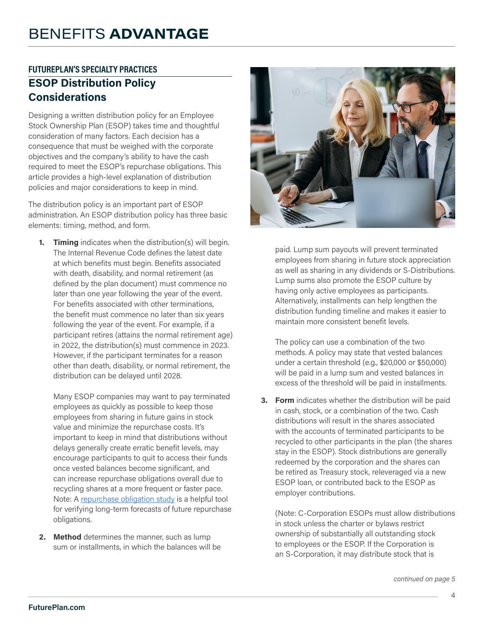## <span id="page-3-0"></span>**FUTUREPLAN'S SPECIALTY PRACTICES ESOP Distribution Policy Considerations**

Designing a written distribution policy for an Employee Stock Ownership Plan (ESOP) takes time and thoughtful consideration of many factors. Each decision has a consequence that must be weighed with the corporate objectives and the company's ability to have the cash required to meet the ESOP's repurchase obligations. This article provides a high-level explanation of distribution policies and major considerations to keep in mind.

The distribution policy is an important part of ESOP administration. An ESOP distribution policy has three basic elements: timing, method, and form.

**1. Timing** indicates when the distribution(s) will begin. The Internal Revenue Code defines the latest date at which benefits must begin. Benefits associated with death, disability, and normal retirement (as defined by the plan document) must commence no later than one year following the year of the event. For benefits associated with other terminations, the benefit must commence no later than six years following the year of the event. For example, if a participant retires (attains the normal retirement age) in 2022, the distribution(s) must commence in 2023. However, if the participant terminates for a reason other than death, disability, or normal retirement, the distribution can be delayed until 2028.

Many ESOP companies may want to pay terminated employees as quickly as possible to keep those employees from sharing in future gains in stock value and minimize the repurchase costs. It's important to keep in mind that distributions without delays generally create erratic benefit levels, may encourage participants to quit to access their funds once vested balances become significant, and can increase repurchase obligations overall due to recycling shares at a more frequent or faster pace. Note: A [repurchase obligation study](https://www.esopeconomics.com) is a helpful tool for verifying long-term forecasts of future repurchase obligations.

**2. Method** determines the manner, such as lump sum or installments, in which the balances will be



paid. Lump sum payouts will prevent terminated employees from sharing in future stock appreciation as well as sharing in any dividends or S-Distributions. Lump sums also promote the ESOP culture by having only active employees as participants. Alternatively, installments can help lengthen the distribution funding timeline and makes it easier to maintain more consistent benefit levels.

The policy can use a combination of the two methods. A policy may state that vested balances under a certain threshold (e.g., \$20,000 or \$50,000) will be paid in a lump sum and vested balances in excess of the threshold will be paid in installments.

**3. Form** indicates whether the distribution will be paid in cash, stock, or a combination of the two. Cash distributions will result in the shares associated with the accounts of terminated participants to be recycled to other participants in the plan (the shares stay in the ESOP). Stock distributions are generally redeemed by the corporation and the shares can be retired as Treasury stock, releveraged via a new ESOP loan, or contributed back to the ESOP as employer contributions.

(Note: C-Corporation ESOPs must allow distributions in stock unless the charter or bylaws restrict ownership of substantially all outstanding stock to employees or the ESOP. If the Corporation is an S-Corporation, it may distribute stock that is